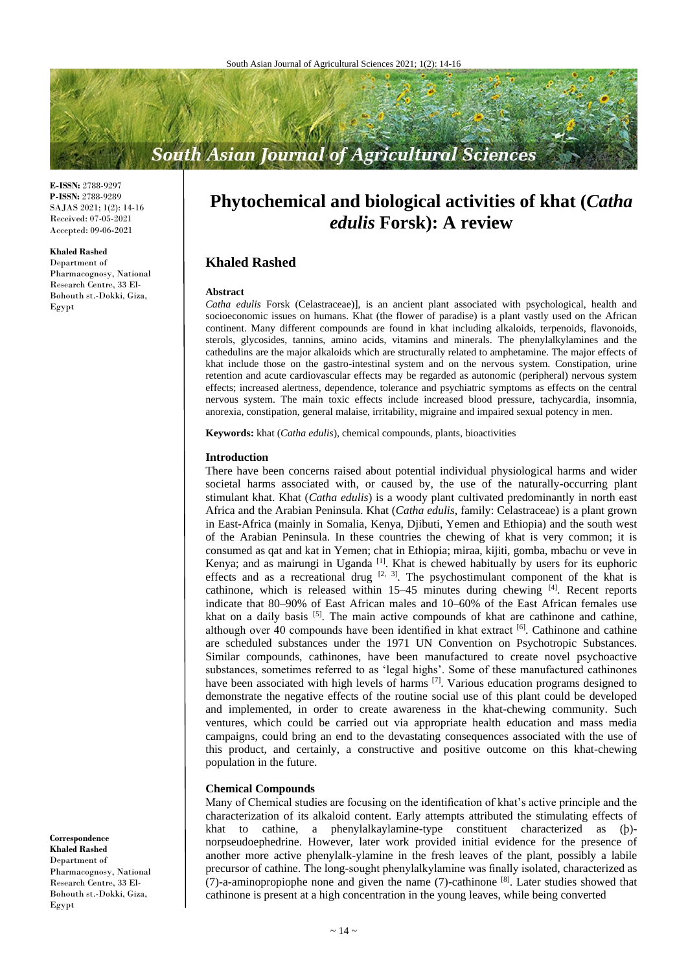# **South Asian Journal of Agricultural Sciences**

**E-ISSN:** 2788-9297 **P-ISSN:** 2788-9289 SAJAS 2021; 1(2): 14-16 Received: 07-05-2021 Accepted: 09-06-2021

#### **Khaled Rashed**

Department of Pharmacognosy, National Research Centre, 33 El-Bohouth st.-Dokki, Giza, Egypt

# **Phytochemical and biological activities of khat (***Catha edulis* **Forsk): A review**

# **Khaled Rashed**

#### **Abstract**

*Catha edulis* Forsk (Celastraceae)], is an ancient plant associated with psychological, health and socioeconomic issues on humans. Khat (the flower of paradise) is a plant vastly used on the African continent. Many different compounds are found in khat including alkaloids, terpenoids, flavonoids, sterols, glycosides, tannins, amino acids, vitamins and minerals. The phenylalkylamines and the cathedulins are the major alkaloids which are structurally related to amphetamine. The major effects of khat include those on the gastro-intestinal system and on the nervous system. Constipation, urine retention and acute cardiovascular effects may be regarded as autonomic (peripheral) nervous system effects; increased alertness, dependence, tolerance and psychiatric symptoms as effects on the central nervous system. The main toxic effects include increased blood pressure, tachycardia, insomnia, anorexia, constipation, general malaise, irritability, migraine and impaired sexual potency in men.

**Keywords:** khat (*Catha edulis*), chemical compounds, plants, bioactivities

#### **Introduction**

There have been concerns raised about potential individual physiological harms and wider societal harms associated with, or caused by, the use of the naturally-occurring plant stimulant khat. Khat (*Catha edulis*) is a woody plant cultivated predominantly in north east Africa and the Arabian Peninsula. Khat (*Catha edulis*, family: Celastraceae) is a plant grown in East-Africa (mainly in Somalia, Kenya, Djibuti, Yemen and Ethiopia) and the south west of the Arabian Peninsula. In these countries the chewing of khat is very common; it is consumed as qat and kat in Yemen; chat in Ethiopia; miraa, kijiti, gomba, mbachu or veve in Kenya; and as mairungi in Uganda [1]. Khat is chewed habitually by users for its euphoric effects and as a recreational drug  $[2, 3]$ . The psychostimulant component of the khat is cathinone, which is released within 15–45 minutes during chewing [4]. Recent reports indicate that 80–90% of East African males and 10–60% of the East African females use khat on a daily basis <sup>[5]</sup>. The main active compounds of khat are cathinone and cathine, although over 40 compounds have been identified in khat extract [6]. Cathinone and cathine are scheduled substances under the 1971 UN Convention on Psychotropic Substances. Similar compounds, cathinones, have been manufactured to create novel psychoactive substances, sometimes referred to as 'legal highs'. Some of these manufactured cathinones have been associated with high levels of harms <sup>[7]</sup>. Various education programs designed to demonstrate the negative effects of the routine social use of this plant could be developed and implemented, in order to create awareness in the khat-chewing community. Such ventures, which could be carried out via appropriate health education and mass media campaigns, could bring an end to the devastating consequences associated with the use of this product, and certainly, a constructive and positive outcome on this khat-chewing population in the future.

#### **Chemical Compounds**

Many of Chemical studies are focusing on the identification of khat's active principle and the characterization of its alkaloid content. Early attempts attributed the stimulating effects of khat to cathine, a phenylalkaylamine-type constituent characterized as (þ) norpseudoephedrine. However, later work provided initial evidence for the presence of another more active phenylalk-ylamine in the fresh leaves of the plant, possibly a labile precursor of cathine. The long-sought phenylalkylamine was finally isolated, characterized as (7)-a-aminopropiophe none and given the name (7)-cathinone [8]. Later studies showed that cathinone is present at a high concentration in the young leaves, while being converted

**Correspondence Khaled Rashed** Department of Pharmacognosy, National Research Centre, 33 El-Bohouth st.-Dokki, Giza, Egypt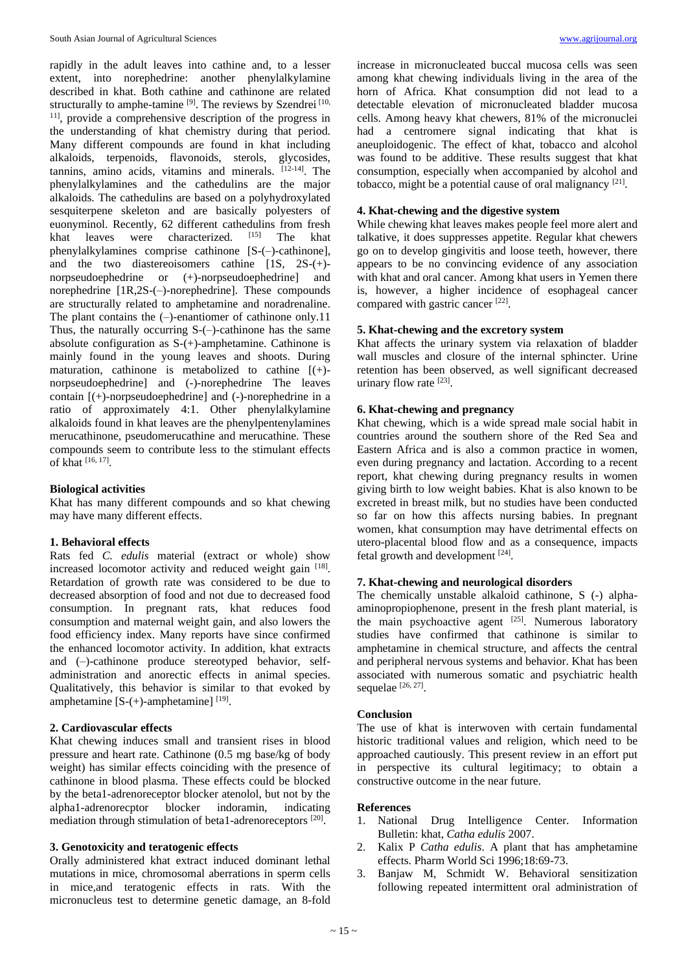rapidly in the adult leaves into cathine and, to a lesser extent, into norephedrine: another phenylalkylamine described in khat. Both cathine and cathinone are related structurally to amphe-tamine <sup>[9]</sup>. The reviews by Szendrei<sup>[10,</sup> 11] , provide a comprehensive description of the progress in the understanding of khat chemistry during that period. Many different compounds are found in khat including alkaloids, terpenoids, flavonoids, sterols, glycosides, tannins, amino acids, vitamins and minerals. [12-14] . The phenylalkylamines and the cathedulins are the major alkaloids. The cathedulins are based on a polyhydroxylated sesquiterpene skeleton and are basically polyesters of euonyminol. Recently, 62 different cathedulins from fresh<br>khat leaves were characterized [15] The khat khat leaves were characterized.  $[15]$  The khat phenylalkylamines comprise cathinone [S-(–)-cathinone], and the two diastereoisomers cathine [1S, 2S-(+) norpseudoephedrine or (+)-norpseudoephedrine] and norephedrine [1R,2S-(–)-norephedrine]. These compounds are structurally related to amphetamine and noradrenaline. The plant contains the  $(-)$ -enantiomer of cathinone only.11 Thus, the naturally occurring  $S$ -(-)-cathinone has the same absolute configuration as S-(+)-amphetamine. Cathinone is mainly found in the young leaves and shoots. During maturation, cathinone is metabolized to cathine [(+) norpseudoephedrine] and (-)-norephedrine The leaves contain [(+)-norpseudoephedrine] and (-)-norephedrine in a ratio of approximately 4:1. Other phenylalkylamine alkaloids found in khat leaves are the phenylpentenylamines merucathinone, pseudomerucathine and merucathine. These compounds seem to contribute less to the stimulant effects of khat [16, 17] .

#### **Biological activities**

Khat has many different compounds and so khat chewing may have many different effects.

#### **1. Behavioral effects**

Rats fed *C. edulis* material (extract or whole) show increased locomotor activity and reduced weight gain [18]. Retardation of growth rate was considered to be due to decreased absorption of food and not due to decreased food consumption. In pregnant rats, khat reduces food consumption and maternal weight gain, and also lowers the food efficiency index. Many reports have since confirmed the enhanced locomotor activity. In addition, khat extracts and (–)-cathinone produce stereotyped behavior, selfadministration and anorectic effects in animal species. Qualitatively, this behavior is similar to that evoked by amphetamine  $[S-(+)$ -amphetamine]  $^{[19]}$ .

#### **2. Cardiovascular effects**

Khat chewing induces small and transient rises in blood pressure and heart rate. Cathinone (0.5 mg base/kg of body weight) has similar effects coinciding with the presence of cathinone in blood plasma. These effects could be blocked by the beta1-adrenoreceptor blocker atenolol, but not by the alpha1-adrenorecptor blocker indoramin, indicating mediation through stimulation of beta1-adrenoreceptors<sup>[20]</sup>.

#### **3. Genotoxicity and teratogenic effects**

Orally administered khat extract induced dominant lethal mutations in mice, chromosomal aberrations in sperm cells in mice,and teratogenic effects in rats. With the micronucleus test to determine genetic damage, an 8-fold

increase in micronucleated buccal mucosa cells was seen among khat chewing individuals living in the area of the horn of Africa. Khat consumption did not lead to a detectable elevation of micronucleated bladder mucosa cells. Among heavy khat chewers, 81% of the micronuclei had a centromere signal indicating that khat is aneuploidogenic. The effect of khat, tobacco and alcohol was found to be additive. These results suggest that khat consumption, especially when accompanied by alcohol and tobacco, might be a potential cause of oral malignancy [21].

# **4. Khat-chewing and the digestive system**

While chewing khat leaves makes people feel more alert and talkative, it does suppresses appetite. Regular khat chewers go on to develop gingivitis and loose teeth, however, there appears to be no convincing evidence of any association with khat and oral cancer. Among khat users in Yemen there is, however, a higher incidence of esophageal cancer compared with gastric cancer [22].

### **5. Khat-chewing and the excretory system**

Khat affects the urinary system via relaxation of bladder wall muscles and closure of the internal sphincter. Urine retention has been observed, as well significant decreased urinary flow rate [23].

# **6. Khat-chewing and pregnancy**

Khat chewing, which is a wide spread male social habit in countries around the southern shore of the Red Sea and Eastern Africa and is also a common practice in women, even during pregnancy and lactation. According to a recent report, khat chewing during pregnancy results in women giving birth to low weight babies. Khat is also known to be excreted in breast milk, but no studies have been conducted so far on how this affects nursing babies. In pregnant women, khat consumption may have detrimental effects on utero-placental blood flow and as a consequence, impacts fetal growth and development [24].

#### **7. Khat-chewing and neurological disorders**

The chemically unstable alkaloid cathinone, S (-) alphaaminopropiophenone, present in the fresh plant material, is the main psychoactive agent  $[25]$ . Numerous laboratory studies have confirmed that cathinone is similar to amphetamine in chemical structure, and affects the central and peripheral nervous systems and behavior. Khat has been associated with numerous somatic and psychiatric health sequelae  $[26, 27]$ .

#### **Conclusion**

The use of khat is interwoven with certain fundamental historic traditional values and religion, which need to be approached cautiously. This present review in an effort put in perspective its cultural legitimacy; to obtain a constructive outcome in the near future.

#### **References**

- 1. National Drug Intelligence Center. Information Bulletin: khat, *Catha edulis* 2007.
- 2. Kalix P *Catha edulis*. A plant that has amphetamine effects. Pharm World Sci 1996;18:69-73.
- 3. Banjaw M, Schmidt W. Behavioral sensitization following repeated intermittent oral administration of